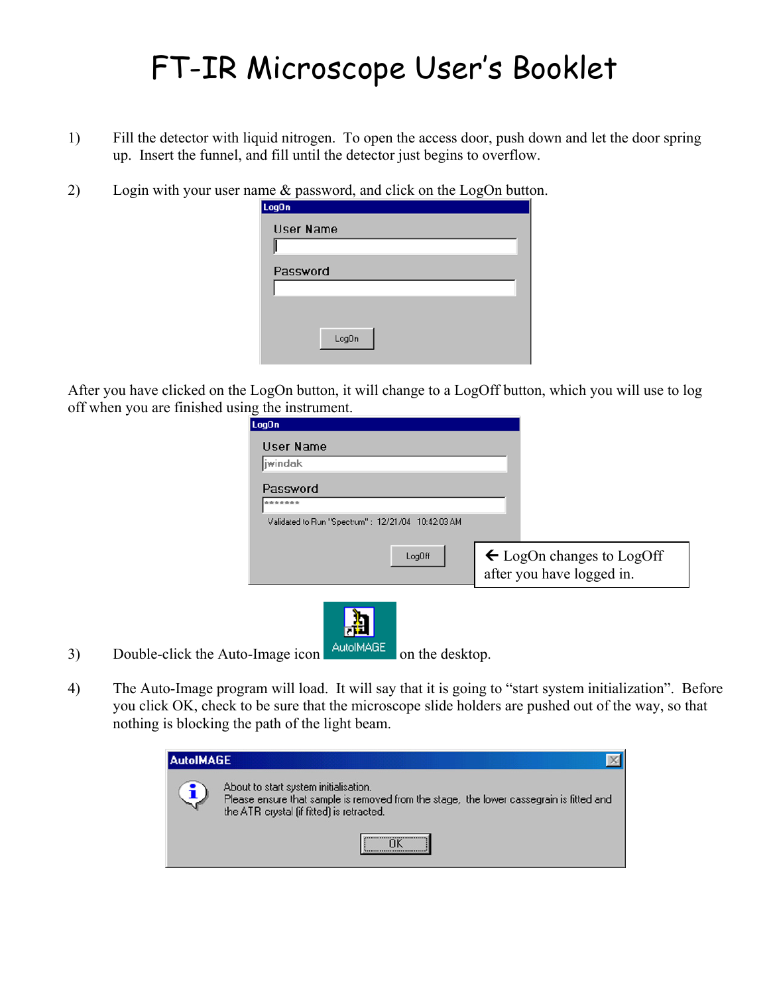## FT-IR Microscope User's Booklet

- 1) Fill the detector with liquid nitrogen. To open the access door, push down and let the door spring up. Insert the funnel, and fill until the detector just begins to overflow.
- 2) Login with your user name & password, and click on the LogOn button.

| Log0n     |       |
|-----------|-------|
| User Name |       |
|           |       |
| Password  |       |
|           |       |
|           |       |
|           | LogOn |

After you have clicked on the LogOn button, it will change to a LogOff button, which you will use to log off when you are finished using the instrument.

| jwindak<br>Password<br>*******                    |                                                                   |
|---------------------------------------------------|-------------------------------------------------------------------|
|                                                   |                                                                   |
|                                                   |                                                                   |
|                                                   |                                                                   |
| Validated to Run "Spectrum": 12/21/04 10:42:03 AM |                                                                   |
| LogOff                                            | $\leftarrow$ LogOn changes to LogOff<br>after you have logged in. |

3) Double-click the Auto-Image icon  $\begin{bmatrix} \frac{\text{Aut}\cdot\text{MAGE}}{\text{Out}} \end{bmatrix}$  on the desktop.

4) The Auto-Image program will load. It will say that it is going to "start system initialization". Before you click OK, check to be sure that the microscope slide holders are pushed out of the way, so that nothing is blocking the path of the light beam.

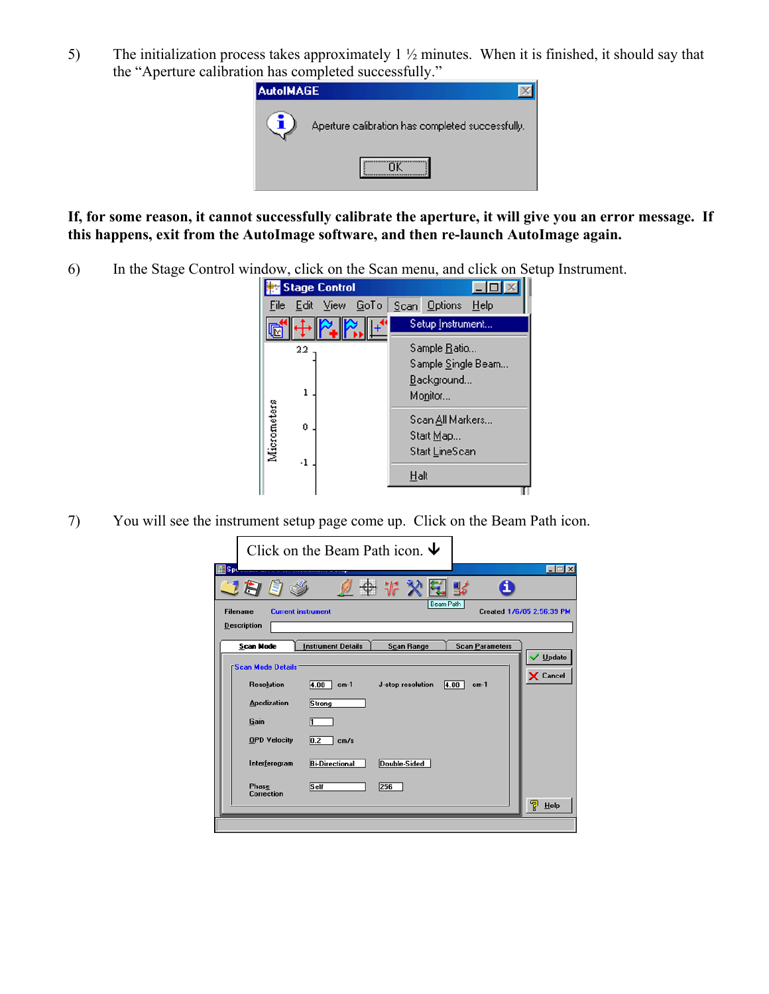5) The initialization process takes approximately 1 ½ minutes. When it is finished, it should say that the "Aperture calibration has completed successfully."



## **If, for some reason, it cannot successfully calibrate the aperture, it will give you an error message. If this happens, exit from the AutoImage software, and then re-launch AutoImage again.**

6) In the Stage Control window, click on the Scan menu, and click on Setup Instrument.



7) You will see the instrument setup page come up. Click on the Beam Path icon.

|                            | Click on the Beam Path icon. $\blacktriangleright$                |                           |
|----------------------------|-------------------------------------------------------------------|---------------------------|
| Spe                        |                                                                   | $\Box$                    |
|                            |                                                                   |                           |
| <b>Filename</b>            | Beam Path<br><b>Current instrument</b>                            | Created 1/6/05 2:56:39 PM |
| <b>Description</b>         |                                                                   |                           |
| <b>Scan Mode</b>           | <b>Scan Parameters</b><br><b>Instrument Details</b><br>Scan Range |                           |
| <b>Scan Mode Details</b>   |                                                                   | Update                    |
|                            |                                                                   | X Cancel                  |
| <b>Resolution</b>          | 4.00<br>J-stop resolution<br>4.00<br>$cm-1$<br>$cm-1$             |                           |
| <b>Apodization</b>         | Strong                                                            |                           |
| Gain                       |                                                                   |                           |
| <b>OPD Velocity</b>        | $\overline{0.2}$<br>cm/s                                          |                           |
| Interferogram              | <b>Bi-Directional</b><br>Double-Sided                             |                           |
| Phase<br><b>Correction</b> | Self<br>256                                                       |                           |
|                            |                                                                   | ᄝ<br>Help                 |
|                            |                                                                   |                           |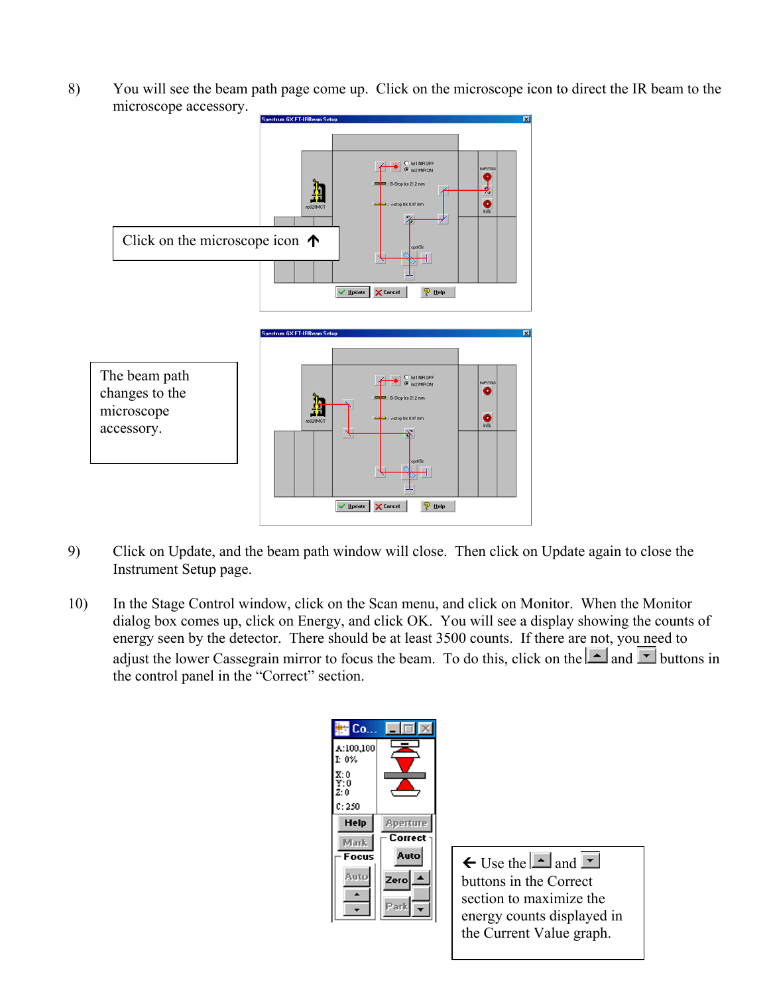8) You will see the beam path page come up. Click on the microscope icon to direct the IR beam to the microscope accessory.



- 9) Click on Update, and the beam path window will close. Then click on Update again to close the Instrument Setup page.
- 10) In the Stage Control window, click on the Scan menu, and click on Monitor. When the Monitor dialog box comes up, click on Energy, and click OK. You will see a display showing the counts of energy seen by the detector. There should be at least 3500 counts. If there are not, you need to adjust the lower Cassegrain mirror to focus the beam. To do this, click on the  $\Box$  and  $\Box$  buttons in the control panel in the "Correct" section.

| 监 Co.                              |                 |
|------------------------------------|-----------------|
| A:100,100<br>$I: 0\%$              |                 |
| X: 0<br>Y: 0<br>$\overline{z}$ : 0 |                 |
| C: 250                             |                 |
| <b>Help</b>                        | <b>Aperture</b> |
| Mark.                              | Correct         |
| Focus                              | Auto            |
| Auto                               | Zero            |
|                                    |                 |

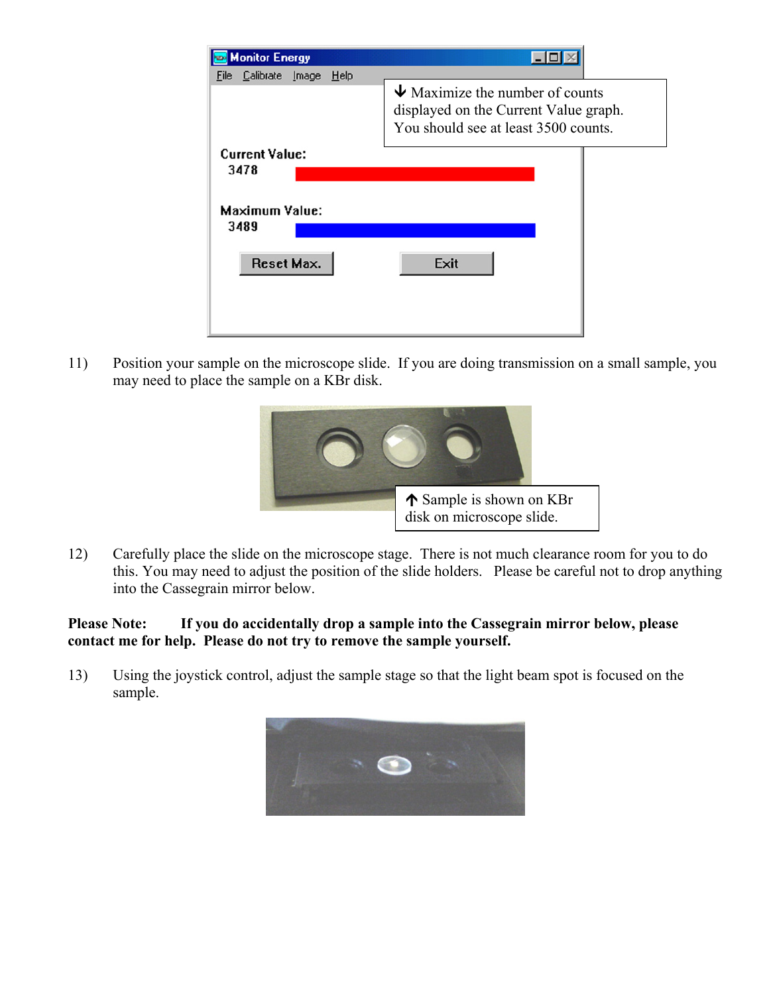| <b>Monitor Energy</b><br>Calibrate Image<br>Help<br>File |                                                                                                                                      |
|----------------------------------------------------------|--------------------------------------------------------------------------------------------------------------------------------------|
|                                                          | $\blacktriangleright$ Maximize the number of counts<br>displayed on the Current Value graph.<br>You should see at least 3500 counts. |
| <b>Current Value:</b><br>3478                            |                                                                                                                                      |
| <b>Maximum Value:</b><br>3489                            |                                                                                                                                      |
| Reset Max.                                               | Exit                                                                                                                                 |

11) Position your sample on the microscope slide. If you are doing transmission on a small sample, you may need to place the sample on a KBr disk.



12) Carefully place the slide on the microscope stage. There is not much clearance room for you to do this. You may need to adjust the position of the slide holders. Please be careful not to drop anything into the Cassegrain mirror below.

## **Please Note: If you do accidentally drop a sample into the Cassegrain mirror below, please contact me for help. Please do not try to remove the sample yourself.**

13) Using the joystick control, adjust the sample stage so that the light beam spot is focused on the sample.

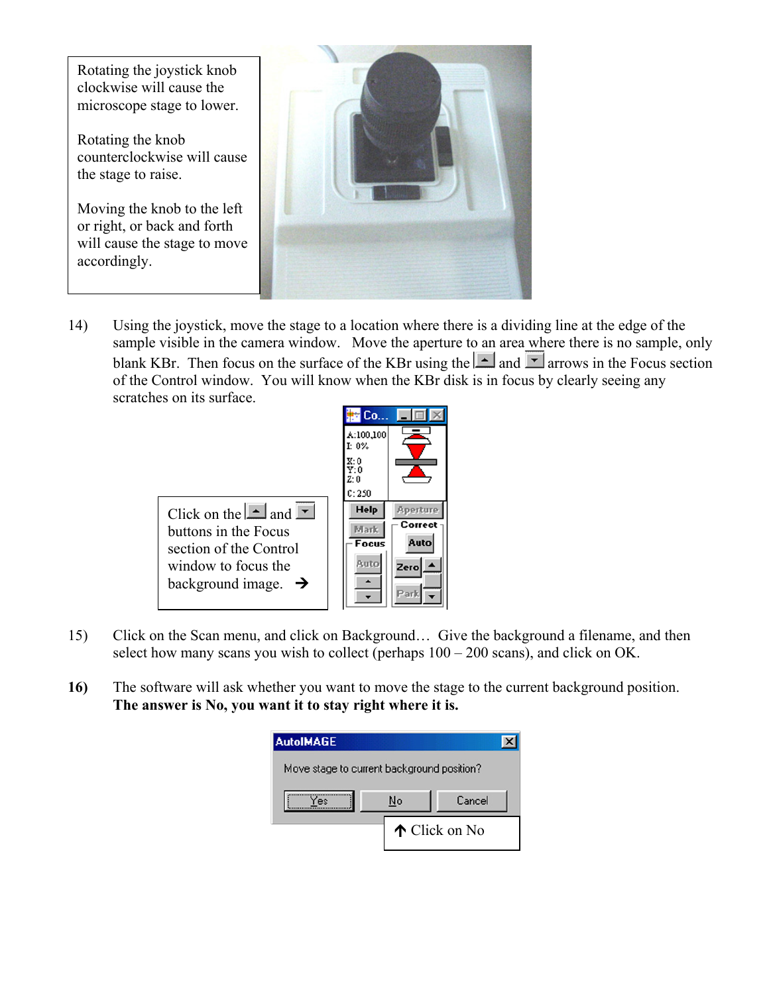

14) Using the joystick, move the stage to a location where there is a dividing line at the edge of the sample visible in the camera window. Move the aperture to an area where there is no sample, only blank KBr. Then focus on the surface of the KBr using the  $\Box$  and  $\Box$  arrows in the Focus section of the Control window. You will know when the KBr disk is in focus by clearly seeing any scratches on its surface.



- 15) Click on the Scan menu, and click on Background… Give the background a filename, and then select how many scans you wish to collect (perhaps  $100 - 200$  scans), and click on OK.
- **16)** The software will ask whether you want to move the stage to the current background position. **The answer is No, you want it to stay right where it is.**

| <b>AutoIMAGE</b>                           |    |               |
|--------------------------------------------|----|---------------|
| Move stage to current background position? |    |               |
| 'es                                        | No | Cancel        |
|                                            |    | ↑ Click on No |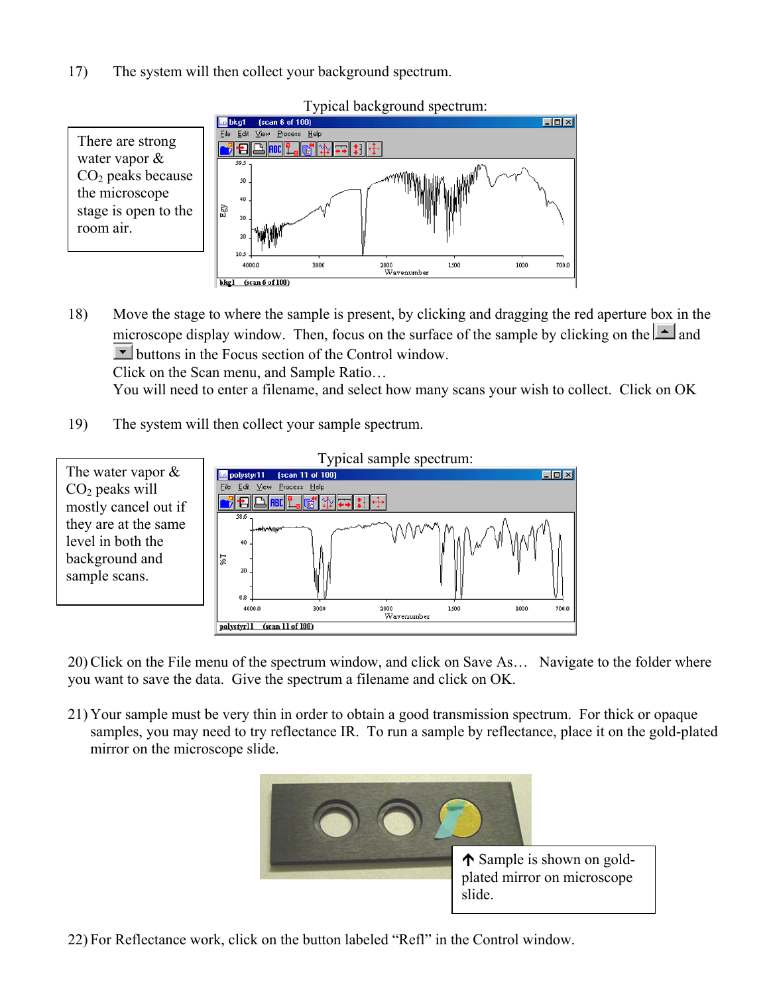17) The system will then collect your background spectrum.



Typical background spectrum:

18) Move the stage to where the sample is present, by clicking and dragging the red aperture box in the microscope display window. Then, focus on the surface of the sample by clicking on the  $\Delta$  and **buttons** in the Focus section of the Control window.

Click on the Scan menu, and Sample Ratio…

You will need to enter a filename, and select how many scans your wish to collect. Click on OK

19) The system will then collect your sample spectrum.



20) Click on the File menu of the spectrum window, and click on Save As… Navigate to the folder where you want to save the data. Give the spectrum a filename and click on OK.

21) Your sample must be very thin in order to obtain a good transmission spectrum. For thick or opaque samples, you may need to try reflectance IR. To run a sample by reflectance, place it on the gold-plated mirror on the microscope slide.



22) For Reflectance work, click on the button labeled "Refl" in the Control window.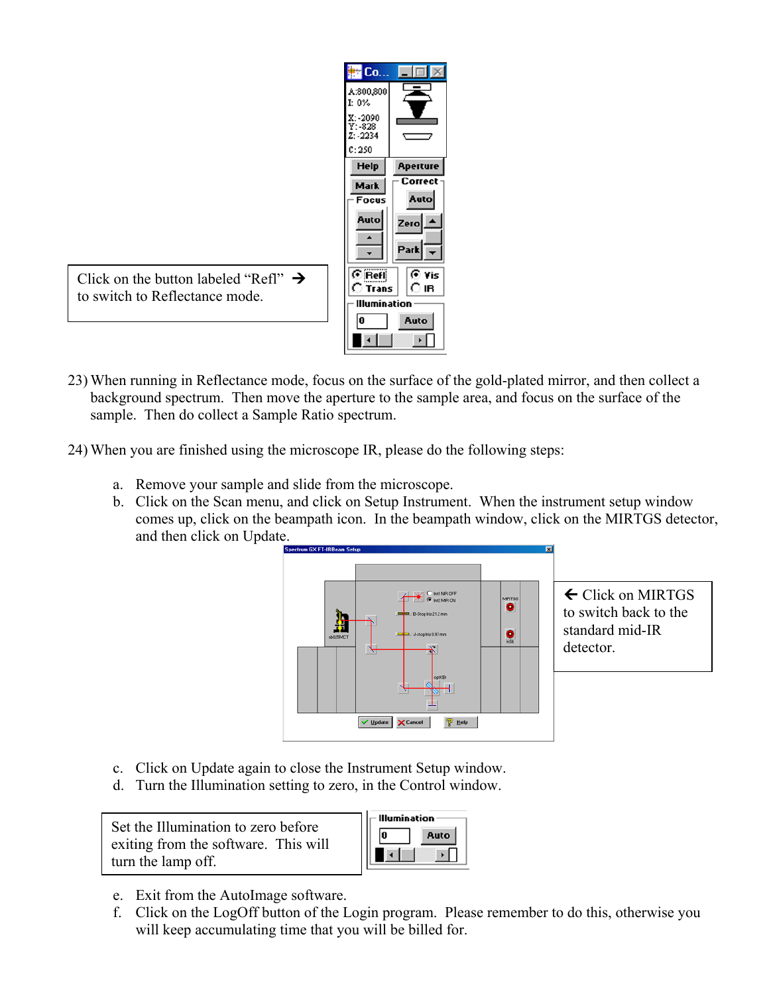| F Co.,                            |                 |
|-----------------------------------|-----------------|
| A:800,800<br>$I: 0\%$             |                 |
| X: -2090<br>$Y: -828$<br>Z: -2234 |                 |
| C: 250                            |                 |
| Help                              | <b>Aperture</b> |
| <b>Mark</b>                       | Correct         |
| Focus                             | Auto            |
| Auto                              | Zero            |
|                                   | Park            |
| СŘ<br>Trans                       | ি Vis<br>IR     |
| minatio                           |                 |
|                                   |                 |
| N                                 | Auto            |

Click on the button labeled "Refl"  $\rightarrow$ to switch to Reflectance mode.

- 23) When running in Reflectance mode, focus on the surface of the gold-plated mirror, and then collect a background spectrum. Then move the aperture to the sample area, and focus on the surface of the sample. Then do collect a Sample Ratio spectrum.
- 24) When you are finished using the microscope IR, please do the following steps:
	- a. Remove your sample and slide from the microscope.
	- b. Click on the Scan menu, and click on Setup Instrument. When the instrument setup window comes up, click on the beampath icon. In the beampath window, click on the MIRTGS detector, and then click on Update.



← Click on MIRTGS to switch back to the standard mid-IR detector.

- c. Click on Update again to close the Instrument Setup window.
- d. Turn the Illumination setting to zero, in the Control window.

Set the Illumination to zero before exiting from the software. This will turn the lamp off.

| umination |      |
|-----------|------|
|           | Auto |
|           |      |

- e. Exit from the AutoImage software.
- f. Click on the LogOff button of the Login program. Please remember to do this, otherwise you will keep accumulating time that you will be billed for.